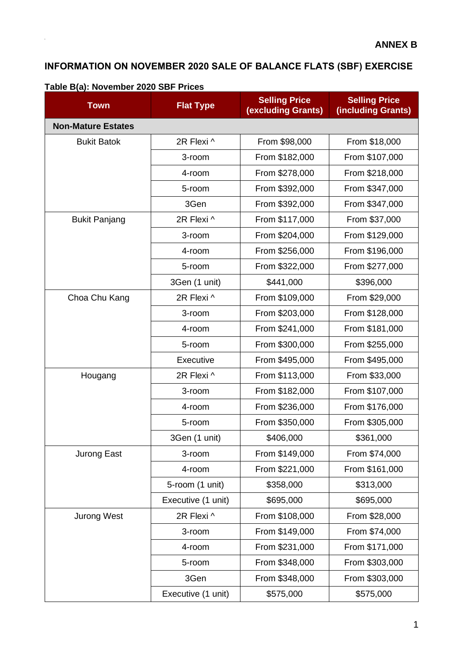## **INFORMATION ON NOVEMBER 2020 SALE OF BALANCE FLATS (SBF) EXERCISE**

| <b>Town</b>               | <b>Flat Type</b>   | <b>Selling Price</b><br><b>(excluding Grants)</b> | <b>Selling Price</b><br>(including Grants) |  |
|---------------------------|--------------------|---------------------------------------------------|--------------------------------------------|--|
| <b>Non-Mature Estates</b> |                    |                                                   |                                            |  |
| <b>Bukit Batok</b>        | 2R Flexi ^         | From \$98,000                                     | From \$18,000                              |  |
|                           | 3-room             | From \$182,000                                    | From \$107,000                             |  |
|                           | 4-room             | From \$278,000                                    | From \$218,000                             |  |
|                           | 5-room             | From \$392,000                                    | From \$347,000                             |  |
|                           | 3Gen               | From \$392,000                                    | From \$347,000                             |  |
| <b>Bukit Panjang</b>      | 2R Flexi ^         | From \$117,000                                    | From \$37,000                              |  |
|                           | 3-room             | From \$204,000                                    | From \$129,000                             |  |
|                           | 4-room             | From \$256,000                                    | From \$196,000                             |  |
|                           | 5-room             | From \$322,000                                    | From \$277,000                             |  |
|                           | 3Gen (1 unit)      | \$441,000                                         | \$396,000                                  |  |
| Choa Chu Kang             | 2R Flexi ^         | From \$109,000                                    | From \$29,000                              |  |
|                           | 3-room             | From \$203,000                                    | From \$128,000                             |  |
|                           | 4-room             | From \$241,000                                    | From \$181,000                             |  |
|                           | 5-room             | From \$300,000                                    |                                            |  |
|                           | Executive          | From \$495,000                                    | From \$495,000                             |  |
| Hougang                   | 2R Flexi ^         | From \$113,000                                    | From \$33,000                              |  |
|                           | 3-room             | From \$182,000                                    | From \$107,000                             |  |
|                           | 4-room             | From \$236,000                                    | From \$176,000                             |  |
|                           | 5-room             | From \$350,000                                    | From \$305,000                             |  |
|                           | 3Gen (1 unit)      | \$406,000                                         | \$361,000                                  |  |
| Jurong East               | 3-room             | From \$149,000                                    | From \$74,000                              |  |
|                           | 4-room             | From \$221,000                                    | From \$161,000                             |  |
|                           | 5-room (1 unit)    | \$358,000                                         | \$313,000                                  |  |
|                           | Executive (1 unit) | \$695,000                                         | \$695,000                                  |  |
| <b>Jurong West</b>        | 2R Flexi ^         | From \$108,000                                    | From \$28,000                              |  |
|                           | 3-room             | From \$149,000                                    | From \$74,000                              |  |
|                           | 4-room             | From \$231,000                                    | From \$171,000                             |  |
|                           | 5-room             | From \$348,000                                    | From \$303,000                             |  |
|                           | 3Gen               | From \$348,000                                    | From \$303,000                             |  |
|                           | Executive (1 unit) | \$575,000                                         | \$575,000                                  |  |

## **Table B(a): November 2020 SBF Prices**

 $\hat{\boldsymbol{\gamma}}$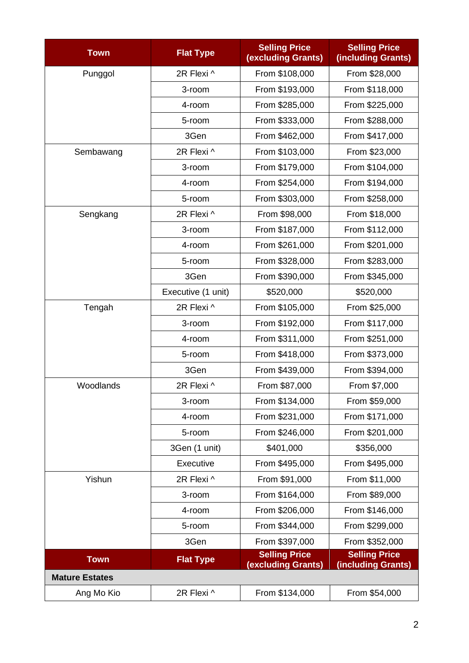| <b>Town</b>           | <b>Flat Type</b>   | <b>Selling Price</b><br>(excluding Grants) | <b>Selling Price</b><br>(including Grants) |  |  |
|-----------------------|--------------------|--------------------------------------------|--------------------------------------------|--|--|
| Punggol               | 2R Flexi ^         | From \$108,000                             | From \$28,000                              |  |  |
|                       | 3-room             | From \$193,000                             | From \$118,000                             |  |  |
|                       | 4-room             | From \$285,000                             | From \$225,000                             |  |  |
|                       | 5-room             | From \$333,000                             | From \$288,000                             |  |  |
|                       | 3Gen               | From \$462,000                             | From \$417,000                             |  |  |
| Sembawang             | 2R Flexi ^         | From \$103,000                             | From \$23,000                              |  |  |
|                       | 3-room             | From \$179,000                             | From \$104,000                             |  |  |
|                       | 4-room             | From \$254,000                             | From \$194,000                             |  |  |
|                       | 5-room             | From \$303,000                             | From \$258,000                             |  |  |
| Sengkang              | 2R Flexi ^         | From \$98,000                              | From \$18,000                              |  |  |
|                       | 3-room             | From \$187,000                             | From \$112,000                             |  |  |
|                       | 4-room             | From \$261,000                             | From \$201,000                             |  |  |
|                       | 5-room             | From \$328,000                             | From \$283,000                             |  |  |
|                       | 3Gen               | From \$390,000                             | From \$345,000                             |  |  |
|                       | Executive (1 unit) | \$520,000                                  | \$520,000                                  |  |  |
| Tengah                | 2R Flexi ^         | From \$105,000                             | From \$25,000                              |  |  |
|                       | 3-room             | From \$192,000                             | From \$117,000                             |  |  |
|                       | 4-room             | From \$311,000                             | From \$251,000                             |  |  |
|                       | 5-room             | From \$418,000                             | From \$373,000                             |  |  |
|                       | 3Gen               | From \$439,000                             | From \$394,000                             |  |  |
| Woodlands             | 2R Flexi ^         | From \$87,000                              | From \$7,000                               |  |  |
|                       | 3-room             | From \$134,000                             | From \$59,000                              |  |  |
|                       | 4-room             | From \$231,000                             | From \$171,000                             |  |  |
|                       | 5-room             | From \$246,000                             | From \$201,000                             |  |  |
|                       | 3Gen (1 unit)      | \$401,000                                  | \$356,000                                  |  |  |
|                       | Executive          | From \$495,000                             | From \$495,000                             |  |  |
| Yishun                | 2R Flexi ^         | From \$91,000                              | From \$11,000                              |  |  |
|                       | 3-room             | From \$164,000                             | From \$89,000                              |  |  |
|                       | 4-room             | From \$206,000                             | From \$146,000                             |  |  |
|                       | 5-room             | From \$344,000                             | From \$299,000                             |  |  |
|                       | 3Gen               | From \$397,000                             | From \$352,000                             |  |  |
| <b>Town</b>           | <b>Flat Type</b>   | <b>Selling Price</b><br>(excluding Grants) | <b>Selling Price</b><br>(including Grants) |  |  |
| <b>Mature Estates</b> |                    |                                            |                                            |  |  |
| Ang Mo Kio            | 2R Flexi ^         | From \$134,000                             | From \$54,000                              |  |  |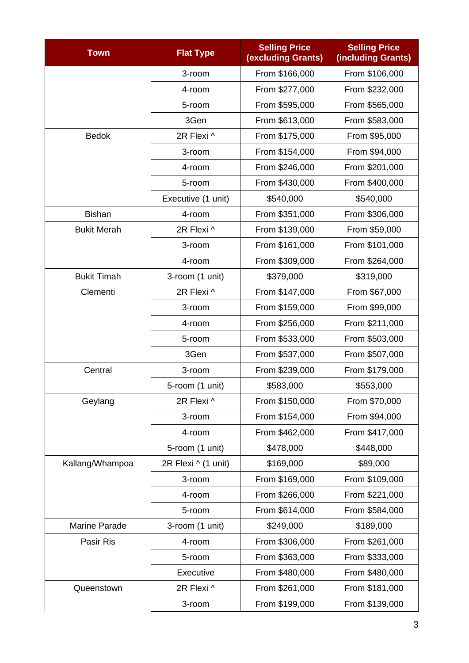| <b>Town</b>          | <b>Flat Type</b>    | <b>Selling Price</b><br><b>(excluding Grants)</b> | <b>Selling Price</b><br>(including Grants) |  |  |
|----------------------|---------------------|---------------------------------------------------|--------------------------------------------|--|--|
|                      | 3-room              | From \$166,000                                    | From \$106,000                             |  |  |
|                      | 4-room              | From \$277,000                                    | From \$232,000                             |  |  |
|                      | 5-room              | From \$595,000                                    | From \$565,000                             |  |  |
|                      | 3Gen                | From \$613,000                                    | From \$583,000                             |  |  |
| <b>Bedok</b>         | 2R Flexi ^          | From \$175,000                                    | From \$95,000                              |  |  |
|                      | 3-room              | From \$154,000                                    | From \$94,000                              |  |  |
|                      | 4-room              | From \$246,000                                    | From \$201,000                             |  |  |
|                      | 5-room              | From \$430,000                                    | From \$400,000                             |  |  |
|                      | Executive (1 unit)  | \$540,000                                         | \$540,000                                  |  |  |
| <b>Bishan</b>        | 4-room              | From \$351,000                                    | From \$306,000                             |  |  |
| <b>Bukit Merah</b>   | 2R Flexi ^          | From \$139,000                                    | From \$59,000                              |  |  |
|                      | 3-room              | From \$161,000                                    | From \$101,000                             |  |  |
|                      | 4-room              | From \$309,000                                    | From \$264,000                             |  |  |
| <b>Bukit Timah</b>   | 3-room (1 unit)     | \$379,000                                         | \$319,000                                  |  |  |
| Clementi             | 2R Flexi ^          | From \$147,000                                    | From \$67,000                              |  |  |
|                      | 3-room              | From \$159,000                                    | From \$99,000                              |  |  |
|                      | 4-room              | From \$256,000                                    | From \$211,000                             |  |  |
|                      | 5-room              | From \$533,000                                    | From \$503,000                             |  |  |
|                      | 3Gen                | From \$537,000                                    | From \$507,000                             |  |  |
| Central              | 3-room              | From \$239,000                                    | From \$179,000                             |  |  |
|                      | 5-room (1 unit)     | \$583,000                                         | \$553,000                                  |  |  |
| Geylang              | 2R Flexi ^          | From \$150,000                                    | From \$70,000                              |  |  |
|                      | 3-room              | From \$154,000                                    | From \$94,000                              |  |  |
|                      | 4-room              | From \$462,000                                    | From \$417,000                             |  |  |
|                      | 5-room (1 unit)     | \$478,000                                         | \$448,000                                  |  |  |
| Kallang/Whampoa      | 2R Flexi ^ (1 unit) | \$169,000                                         | \$89,000                                   |  |  |
|                      | 3-room              | From \$169,000                                    | From \$109,000                             |  |  |
|                      | 4-room              | From \$266,000                                    | From \$221,000                             |  |  |
|                      | 5-room              | From \$614,000                                    | From \$584,000                             |  |  |
| <b>Marine Parade</b> | 3-room (1 unit)     | \$249,000                                         | \$189,000                                  |  |  |
| Pasir Ris            | 4-room              | From \$306,000                                    | From \$261,000                             |  |  |
|                      | 5-room              | From \$363,000                                    | From \$333,000                             |  |  |
|                      | Executive           | From \$480,000                                    | From \$480,000                             |  |  |
| Queenstown           | 2R Flexi ^          | From \$261,000                                    | From \$181,000                             |  |  |
|                      | 3-room              | From \$199,000                                    | From \$139,000                             |  |  |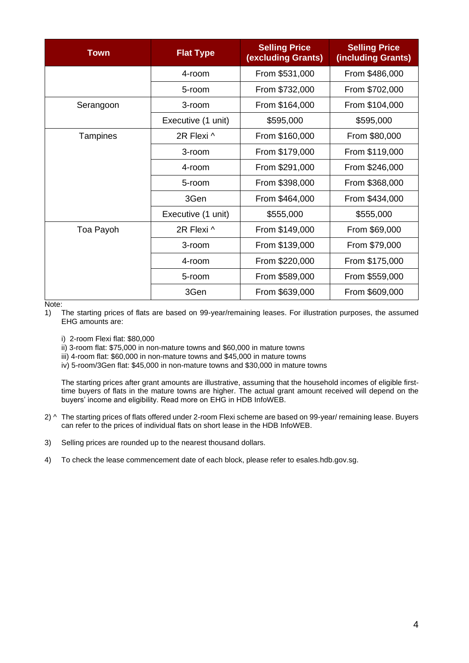| <b>Town</b> | <b>Flat Type</b>   | <b>Selling Price</b><br><b>(excluding Grants)</b> | <b>Selling Price</b><br>(including Grants) |  |
|-------------|--------------------|---------------------------------------------------|--------------------------------------------|--|
|             | 4-room             | From \$531,000                                    | From \$486,000                             |  |
|             | 5-room             | From \$732,000                                    | From \$702,000                             |  |
| Serangoon   | 3-room             | From \$164,000                                    | From \$104,000                             |  |
|             | Executive (1 unit) | \$595,000                                         | \$595,000                                  |  |
| Tampines    | 2R Flexi ^         | From \$160,000                                    | From \$80,000                              |  |
|             | 3-room             | From \$179,000                                    | From \$119,000                             |  |
|             | 4-room             | From \$291,000                                    | From \$246,000                             |  |
|             | 5-room             | From \$398,000                                    | From \$368,000                             |  |
|             | 3Gen               | From \$464,000                                    | From \$434,000                             |  |
|             | Executive (1 unit) | \$555,000                                         | \$555,000                                  |  |
| Toa Payoh   | 2R Flexi ^         | From \$149,000                                    | From \$69,000                              |  |
|             | 3-room             | From \$139,000                                    | From \$79,000                              |  |
|             | 4-room             | From \$220,000                                    | From \$175,000                             |  |
|             | 5-room             | From \$589,000                                    | From \$559,000                             |  |
|             | 3Gen               | From \$639,000                                    | From \$609,000                             |  |

Note:

1) The starting prices of flats are based on 99-year/remaining leases. For illustration purposes, the assumed EHG amounts are:

i) 2-room Flexi flat: \$80,000

ii) 3-room flat: \$75,000 in non-mature towns and \$60,000 in mature towns

iii) 4-room flat: \$60,000 in non-mature towns and \$45,000 in mature towns

iv) 5-room/3Gen flat: \$45,000 in non-mature towns and \$30,000 in mature towns

The starting prices after grant amounts are illustrative, assuming that the household incomes of eligible firsttime buyers of flats in the mature towns are higher. The actual grant amount received will depend on the buyers' income and eligibility. Read more on [EHG in HDB InfoWEB.](https://www.hdb.gov.sg/cs/infoweb/residential/buying-a-flat/new/schemes-and-grants/cpf-housing-grants-for-hdb-flats/firsttimer-applicants)

- 2) ^ The starting prices of flats offered under 2-room Flexi scheme are based on 99-year/ remaining lease. Buyers can refer to the prices of individual flats on short lease in the HDB InfoWEB.
- 3) Selling prices are rounded up to the nearest thousand dollars.
- 4) To check the lease commencement date of each block, please refer to esales.hdb.gov.sg.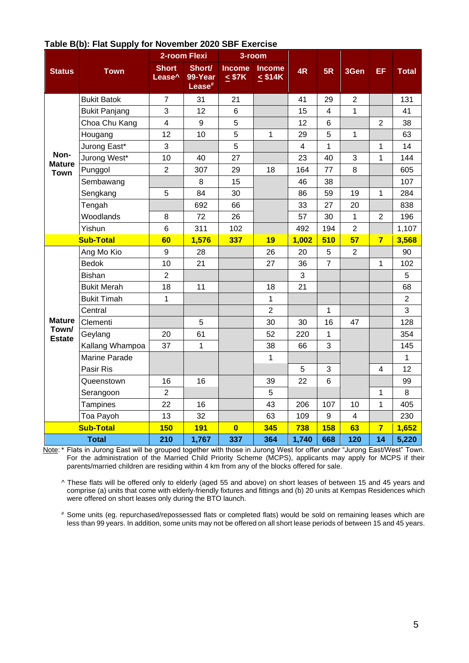|                        |                      |                                    | 2-room Flexi                            |                              | $3$ -room                     |                |                          |                |                         |                |
|------------------------|----------------------|------------------------------------|-----------------------------------------|------------------------------|-------------------------------|----------------|--------------------------|----------------|-------------------------|----------------|
| <b>Status</b>          | <b>Town</b>          | <b>Short</b><br>Lease <sup>^</sup> | Short/<br>99-Year<br>Lease <sup>#</sup> | <b>Income</b><br>$\leq$ \$7K | <b>Income</b><br>$\leq$ \$14K | 4R             | 5R                       | 3Gen           | EF                      | <b>Total</b>   |
|                        | <b>Bukit Batok</b>   | $\overline{7}$                     | 31                                      | 21                           |                               | 41             | 29                       | $\overline{2}$ |                         | 131            |
|                        | <b>Bukit Panjang</b> | 3                                  | 12                                      | $\,6$                        |                               | 15             | $\overline{\mathcal{A}}$ | 1              |                         | 41             |
|                        | Choa Chu Kang        | $\overline{\mathbf{4}}$            | 9                                       | 5                            |                               | 12             | $6\phantom{1}6$          |                | $\overline{2}$          | 38             |
|                        | Hougang              | 12                                 | 10                                      | 5                            | 1                             | 29             | 5                        | 1              |                         | 63             |
|                        | Jurong East*         | 3                                  |                                         | 5                            |                               | $\overline{4}$ | $\mathbf{1}$             |                | 1                       | 14             |
| Non-<br><b>Mature</b>  | Jurong West*         | 10                                 | 40                                      | 27                           |                               | 23             | 40                       | 3              | 1                       | 144            |
| <b>Town</b>            | Punggol              | $\overline{2}$                     | 307                                     | 29                           | 18                            | 164            | 77                       | 8              |                         | 605            |
|                        | Sembawang            |                                    | 8                                       | 15                           |                               | 46             | 38                       |                |                         | 107            |
|                        | Sengkang             | 5                                  | 84                                      | 30                           |                               | 86             | 59                       | 19             | $\mathbf{1}$            | 284            |
|                        | Tengah               |                                    | 692                                     | 66                           |                               | 33             | 27                       | 20             |                         | 838            |
|                        | Woodlands            | 8                                  | 72                                      | 26                           |                               | 57             | 30                       | $\mathbf{1}$   | $\overline{2}$          | 196            |
|                        | Yishun               | 6                                  | 311                                     | 102                          |                               | 492            | 194                      | $\overline{2}$ |                         | 1,107          |
|                        | <b>Sub-Total</b>     | 60                                 | 1,576                                   | 337                          | 19                            | 1,002          | 510                      | 57             | $\overline{\mathbf{z}}$ | 3,568          |
|                        | Ang Mo Kio           | $\boldsymbol{9}$                   | 28                                      |                              | 26                            | 20             | 5                        | $\overline{2}$ |                         | 90             |
|                        | <b>Bedok</b>         | 10                                 | 21                                      |                              | 27                            | 36             | $\overline{7}$           |                | 1                       | 102            |
|                        | <b>Bishan</b>        | $\overline{2}$                     |                                         |                              |                               | 3              |                          |                |                         | 5              |
|                        | <b>Bukit Merah</b>   | 18                                 | 11                                      |                              | 18                            | 21             |                          |                |                         | 68             |
|                        | <b>Bukit Timah</b>   | 1                                  |                                         |                              | $\mathbf{1}$                  |                |                          |                |                         | $\overline{2}$ |
|                        | Central              |                                    |                                         |                              | $\overline{2}$                |                | 1                        |                |                         | 3              |
| <b>Mature</b><br>Town/ | Clementi             |                                    | 5                                       |                              | 30                            | 30             | 16                       | 47             |                         | 128            |
| <b>Estate</b>          | Geylang              | 20                                 | 61                                      |                              | 52                            | 220            | $\mathbf{1}$             |                |                         | 354            |
|                        | Kallang Whampoa      | 37                                 | 1                                       |                              | 38                            | 66             | 3                        |                |                         | 145            |
|                        | Marine Parade        |                                    |                                         |                              | $\mathbf{1}$                  |                |                          |                |                         | 1              |
|                        | Pasir Ris            |                                    |                                         |                              |                               | 5              | 3                        |                | 4                       | 12             |
|                        | Queenstown           | 16                                 | 16                                      |                              | 39                            | 22             | $\,6$                    |                |                         | 99             |
|                        | Serangoon            | $\overline{2}$                     |                                         |                              | 5                             |                |                          |                | 1                       | 8              |
|                        | Tampines             | 22                                 | 16                                      |                              | 43                            | 206            | 107                      | 10             | 1                       | 405            |
|                        | Toa Payoh            | 13                                 | 32                                      |                              | 63                            | 109            | 9                        | $\overline{4}$ |                         | 230            |
|                        | <b>Sub-Total</b>     | <b>150</b>                         | <b>191</b>                              | $\overline{\mathbf{0}}$      | 345                           | 738            | <b>158</b>               | 63             | $\overline{7}$          | 1,652          |
|                        | <b>Total</b>         | 210                                | 1,767                                   | 337                          | 364                           | 1,740          | 668                      | 120            | 14                      | 5,220          |

## **Table B(b): Flat Supply for November 2020 SBF Exercise**

Note: \* Flats in Jurong East will be grouped together with those in Jurong West for offer under "Jurong East/West" Town. For the administration of the Married Child Priority Scheme (MCPS), applicants may apply for MCPS if their parents/married children are residing within 4 km from any of the blocks offered for sale.

^ These flats will be offered only to elderly (aged 55 and above) on short leases of between 15 and 45 years and comprise (a) units that come with elderly-friendly fixtures and fittings and (b) 20 units at Kempas Residences which were offered on short leases only during the BTO launch.

# Some units (eg. repurchased/repossessed flats or completed flats) would be sold on remaining leases which are less than 99 years. In addition, some units may not be offered on all short lease periods of between 15 and 45 years.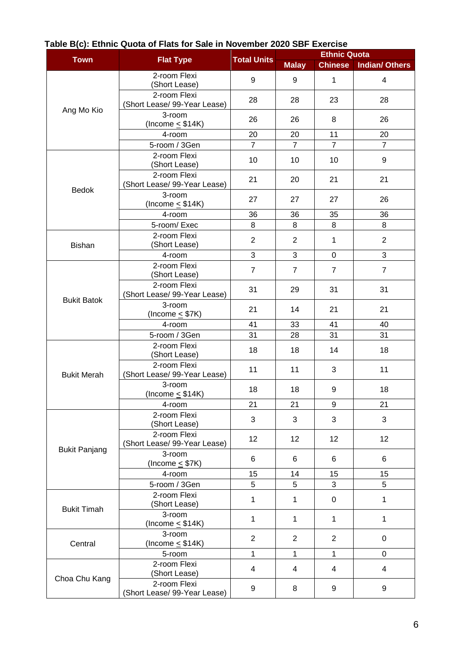| <b>Flat Type</b>     |                                              |                    | <b>Ethnic Quota</b> |                |                       |  |
|----------------------|----------------------------------------------|--------------------|---------------------|----------------|-----------------------|--|
| <b>Town</b>          |                                              | <b>Total Units</b> | <b>Malay</b>        | <b>Chinese</b> | <b>Indian/ Others</b> |  |
|                      | 2-room Flexi<br>(Short Lease)                | 9                  | 9                   | $\mathbf{1}$   | 4                     |  |
| Ang Mo Kio           | 2-room Flexi<br>(Short Lease/ 99-Year Lease) | 28                 | 28                  | 23             | 28                    |  |
|                      | 3-room<br>(Income $\leq$ \$14K)              | 26                 | 26                  | 8              | 26                    |  |
|                      | 4-room                                       | 20                 | 20                  | 11             | 20                    |  |
|                      | 5-room / 3Gen                                | $\overline{7}$     | $\overline{7}$      | $\overline{7}$ | $\overline{7}$        |  |
|                      | 2-room Flexi<br>(Short Lease)                | 10                 | 10                  | 10             | $\boldsymbol{9}$      |  |
| <b>Bedok</b>         | 2-room Flexi<br>(Short Lease/ 99-Year Lease) | 21                 | 20                  | 21             | 21                    |  |
|                      | 3-room<br>(Income $\leq$ \$14K)              | 27                 | 27                  | 27             | 26                    |  |
|                      | 4-room                                       | 36                 | 36                  | 35             | 36                    |  |
|                      | 5-room/Exec                                  | 8                  | 8                   | 8              | 8                     |  |
| Bishan               | 2-room Flexi<br>(Short Lease)                | $\overline{2}$     | $\overline{2}$      | $\mathbf{1}$   | $\overline{2}$        |  |
|                      | 4-room                                       | 3                  | 3                   | 0              | 3                     |  |
|                      | 2-room Flexi<br>(Short Lease)                | $\overline{7}$     | $\overline{7}$      | $\overline{7}$ | $\overline{7}$        |  |
|                      | 2-room Flexi<br>(Short Lease/ 99-Year Lease) | 31                 | 29                  | 31             | 31                    |  |
| <b>Bukit Batok</b>   | 3-room<br>(Income $\leq$ \$7K)               | 21                 | 14                  | 21             | 21                    |  |
|                      | 4-room                                       | 41                 | 33                  | 41             | 40                    |  |
|                      | 5-room / 3Gen                                | 31                 | 28                  | 31             | 31                    |  |
|                      | 2-room Flexi<br>(Short Lease)                | 18                 | 18                  | 14             | 18                    |  |
| <b>Bukit Merah</b>   | 2-room Flexi<br>(Short Lease/ 99-Year Lease) | 11                 | 11                  | 3              | 11                    |  |
|                      | 3-room<br>(Income $\leq$ \$14K)              | 18                 | 18                  | 9              | 18                    |  |
|                      | 4-room                                       | 21                 | 21                  | 9              | 21                    |  |
|                      | 2-room Flexi<br>(Short Lease)                | 3                  | 3                   | 3              | 3                     |  |
|                      | 2-room Flexi<br>(Short Lease/ 99-Year Lease) | 12                 | 12                  | 12             | 12                    |  |
| <b>Bukit Panjang</b> | 3-room<br>(Income $\leq$ \$7K)               | 6                  | 6                   | 6              | 6                     |  |
|                      | 4-room                                       | 15                 | 14                  | 15             | 15                    |  |
|                      | 5-room / 3Gen                                | 5                  | 5                   | 3              | 5                     |  |
| <b>Bukit Timah</b>   | 2-room Flexi<br>(Short Lease)                | 1                  | 1                   | 0              | 1                     |  |
|                      | 3-room<br>(Income $\leq$ \$14K)              | 1                  | 1                   | $\mathbf{1}$   | 1                     |  |
| Central              | 3-room<br>(Income $\leq$ \$14K)              | $\overline{2}$     | $\overline{2}$      | $\overline{2}$ | $\mathbf 0$           |  |
|                      | 5-room                                       | 1                  | 1                   | 1              | $\mathbf 0$           |  |
|                      | 2-room Flexi<br>(Short Lease)                | 4                  | 4                   | 4              | $\overline{4}$        |  |
| Choa Chu Kang        | 2-room Flexi<br>(Short Lease/ 99-Year Lease) | 9                  | 8                   | 9              | 9                     |  |

## **Table B(c): Ethnic Quota of Flats for Sale in November 2020 SBF Exercise**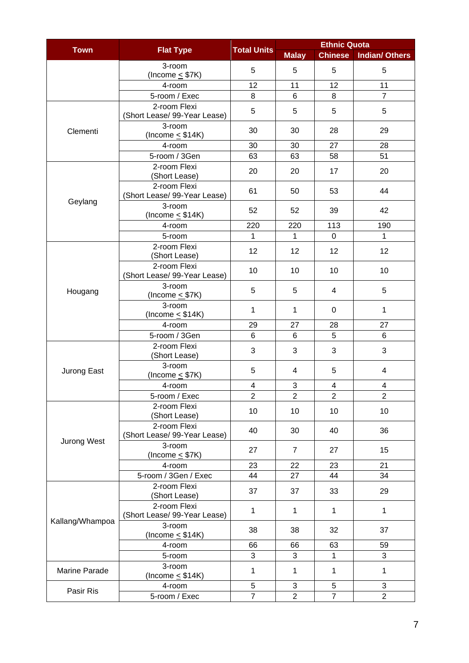| <b>Town</b>     |                                              |                         | <b>Ethnic Quota</b> |                |                         |  |
|-----------------|----------------------------------------------|-------------------------|---------------------|----------------|-------------------------|--|
|                 | <b>Flat Type</b>                             | <b>Total Units</b>      | <b>Malay</b>        | <b>Chinese</b> | <b>Indian/ Others</b>   |  |
|                 | 3-room<br>(Income $\leq$ \$7K)               | 5                       | 5                   | 5              | 5                       |  |
|                 | 4-room                                       | 12                      | 11                  | 12             | 11                      |  |
|                 | 5-room / Exec                                | 8                       | 6                   | 8              | $\overline{7}$          |  |
|                 | 2-room Flexi<br>(Short Lease/ 99-Year Lease) | 5                       | 5                   | 5              | 5                       |  |
| Clementi        | 3-room<br>(Income $\leq$ \$14K)              | 30                      | 30                  | 28             | 29                      |  |
|                 | 4-room                                       | 30                      | 30                  | 27             | 28                      |  |
|                 | 5-room / 3Gen                                | 63                      | 63                  | 58             | 51                      |  |
|                 | 2-room Flexi<br>(Short Lease)                | 20                      | 20                  | 17             | 20                      |  |
|                 | 2-room Flexi<br>(Short Lease/ 99-Year Lease) | 61                      | 50                  | 53             | 44                      |  |
| Geylang         | 3-room<br>(Income $\leq$ \$14K)              | 52                      | 52                  | 39             | 42                      |  |
|                 | 4-room                                       | 220                     | 220                 | 113            | 190                     |  |
|                 | 5-room                                       | 1                       | 1                   | $\mathbf 0$    | 1                       |  |
|                 | 2-room Flexi<br>(Short Lease)                | 12                      | 12                  | 12             | 12                      |  |
|                 | 2-room Flexi<br>(Short Lease/ 99-Year Lease) | 10                      | 10                  | 10             | 10                      |  |
| Hougang         | 3-room<br>(Income $\leq$ \$7K)               | 5                       | 5                   | 4              | 5                       |  |
|                 | 3-room<br>(Income $\leq$ \$14K)              | 1                       | 1                   | 0              | 1                       |  |
|                 | 4-room                                       | 29                      | 27                  | 28             | 27                      |  |
|                 | 5-room / 3Gen                                | 6                       | 6                   | 5              | 6                       |  |
|                 | 2-room Flexi<br>(Short Lease)                | 3                       | 3                   | $\mathbf{3}$   | 3                       |  |
| Jurong East     | 3-room<br>(Income $\leq$ \$7K)               | 5                       | 4                   | 5              | 4                       |  |
|                 | 4-room                                       | $\overline{\mathbf{4}}$ | 3                   | 4              | $\overline{\mathbf{4}}$ |  |
|                 | 5-room / Exec                                | $\overline{2}$          | $\overline{2}$      | $\overline{2}$ | $\overline{2}$          |  |
|                 | 2-room Flexi<br>(Short Lease)                | 10                      | 10                  | 10             | 10                      |  |
|                 | 2-room Flexi<br>(Short Lease/ 99-Year Lease) | 40                      | 30                  | 40             | 36                      |  |
| Jurong West     | 3-room<br>(Income $\leq$ \$7K)               | 27                      | $\overline{7}$      | 27             | 15                      |  |
|                 | 4-room                                       | 23                      | 22                  | 23             | 21                      |  |
|                 | 5-room / 3Gen / Exec                         | 44                      | 27                  | 44             | 34                      |  |
|                 | 2-room Flexi<br>(Short Lease)                | 37                      | 37                  | 33             | 29                      |  |
| Kallang/Whampoa | 2-room Flexi<br>(Short Lease/ 99-Year Lease) | 1                       | 1                   | $\mathbf 1$    | 1                       |  |
|                 | 3-room<br>(Income $\leq$ \$14K)              | 38                      | 38                  | 32             | 37                      |  |
|                 | 4-room                                       | 66                      | 66                  | 63             | 59                      |  |
|                 | 5-room                                       | 3                       | 3                   | 1              | 3                       |  |
| Marine Parade   | 3-room<br>(Income $\leq$ \$14K)              | 1                       | 1                   | 1              | $\mathbf{1}$            |  |
|                 | 4-room                                       | 5                       | 3                   | 5              | 3                       |  |
| Pasir Ris       | 5-room / Exec                                | $\overline{7}$          | $\overline{2}$      | $\overline{7}$ | $\overline{2}$          |  |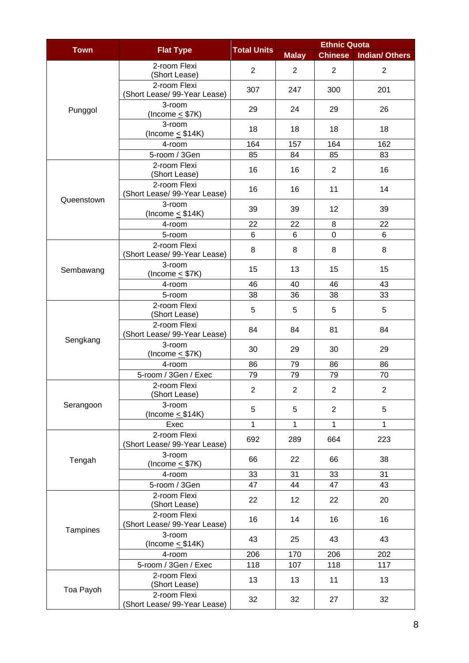|             |                                              | <b>Total Units</b> | <b>Ethnic Quota</b> |                |                       |  |
|-------------|----------------------------------------------|--------------------|---------------------|----------------|-----------------------|--|
| <b>Town</b> | <b>Flat Type</b>                             |                    | <b>Malay</b>        | <b>Chinese</b> | <b>Indian/ Others</b> |  |
|             | 2-room Flexi<br>(Short Lease)                | $\overline{2}$     | $\overline{2}$      | $\overline{2}$ | $\overline{2}$        |  |
|             | 2-room Flexi<br>(Short Lease/ 99-Year Lease) | 307                | 247                 | 300            | 201                   |  |
| Punggol     | 3-room<br>(Income $\leq$ \$7K)               | 29                 | 24                  | 29             | 26                    |  |
|             | 3-room<br>(Income $\leq$ \$14K)              | 18                 | 18                  | 18             | 18                    |  |
|             | 4-room                                       | 164                | 157                 | 164            | 162                   |  |
|             | 5-room / 3Gen                                | 85                 | 84                  | 85             | 83                    |  |
|             | 2-room Flexi<br>(Short Lease)                | 16                 | 16                  | $\overline{2}$ | 16                    |  |
| Queenstown  | 2-room Flexi<br>(Short Lease/ 99-Year Lease) | 16                 | 16                  | 11             | 14                    |  |
|             | 3-room<br>(Income $\leq$ \$14K)              | 39                 | 39                  | 12             | 39                    |  |
|             | 4-room                                       | 22                 | 22                  | 8              | 22                    |  |
|             | 5-room                                       | 6                  | 6                   | $\mathbf 0$    | 6                     |  |
|             | 2-room Flexi<br>(Short Lease/ 99-Year Lease) | 8                  | 8                   | 8              | 8                     |  |
| Sembawang   | 3-room<br>(Income $\leq$ \$7K)               | 15                 | 13                  | 15             | 15                    |  |
|             | 4-room                                       | 46                 | 40                  | 46             | 43                    |  |
|             | 5-room                                       | 38                 | 36                  | 38             | 33                    |  |
|             | 2-room Flexi<br>(Short Lease)                | 5                  | 5                   | 5              | 5                     |  |
|             | 2-room Flexi<br>(Short Lease/ 99-Year Lease) | 84                 | 84                  | 81             | 84                    |  |
| Sengkang    | 3-room<br>(Income $\leq$ \$7K)               | 30                 | 29                  | 30             | 29                    |  |
|             | 4-room                                       | 86                 | 79                  | 86             | 86                    |  |
|             | 5-room / 3Gen / Exec                         | 79                 | 79                  | 79             | 70                    |  |
|             | 2-room Flexi<br>(Short Lease)                | $\overline{2}$     | 2                   | $\overline{2}$ | 2                     |  |
| Serangoon   | 3-room<br>(hcome < \$14K)                    | 5                  | 5                   | $\overline{2}$ | 5                     |  |
|             | Exec                                         | 1                  | 1                   | $\mathbf{1}$   | 1                     |  |
|             | 2-room Flexi<br>(Short Lease/ 99-Year Lease) | 692                | 289                 | 664            | 223                   |  |
| Tengah      | 3-room<br>(Income $\leq$ \$7K)               | 66                 | 22                  | 66             | 38                    |  |
|             | 4-room                                       | 33                 | 31                  | 33             | 31                    |  |
|             | 5-room / 3Gen                                | 47                 | 44                  | 47             | 43                    |  |
|             | 2-room Flexi<br>(Short Lease)                | 22                 | 12                  | 22             | 20                    |  |
|             | 2-room Flexi<br>(Short Lease/ 99-Year Lease) | 16                 | 14                  | 16             | 16                    |  |
| Tampines    | 3-room<br>(Income $\leq$ \$14K)              | 43                 | 25                  | 43             | 43                    |  |
|             | 4-room                                       | 206                | 170                 | 206            | 202                   |  |
|             | 5-room / 3Gen / Exec                         | 118                | 107                 | 118            | 117                   |  |
|             | 2-room Flexi<br>(Short Lease)                | 13                 | 13                  | 11             | 13                    |  |
| Toa Payoh   | 2-room Flexi<br>(Short Lease/ 99-Year Lease) | 32                 | 32                  | 27             | 32                    |  |